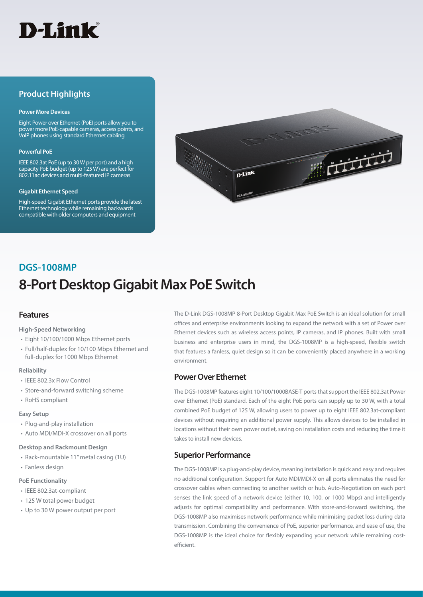

## **Product Highlights**

#### **Power More Devices**

Eight Power over Ethernet (PoE) ports allow you to power more PoE-capable cameras, access points, and VoIP phones using standard Ethernet cabling

#### **Powerful PoE**

IEEE 802.3at PoE (up to 30 W per port) and a high capacity PoE budget (up to 125 W) are perfect for 802.11ac devices and multi-featured IP cameras

#### **Gigabit Ethernet Speed**

High-speed Gigabit Ethernet ports provide the latest Ethernet technology while remaining backwards compatible with older computers and equipment



# **8-Port Desktop Gigabit Max PoE Switch DGS-1008MP**

### **Features**

**High-Speed Networking**

- Eight 10/100/1000 Mbps Ethernet ports
- Full/half-duplex for 10/100 Mbps Ethernet and full-duplex for 1000 Mbps Ethernet

#### **Reliability**

- IEEE 802.3x Flow Control
- Store-and-forward switching scheme
- RoHS compliant

#### **Easy Setup**

- Plug-and-play installation
- Auto MDI/MDI-X crossover on all ports

#### **Desktop and Rackmount Design**

- Rack-mountable 11" metal casing (1U)
- Fanless design

#### **PoE Functionality**

- IEEE 802.3at-compliant
- 125 W total power budget
- Up to 30 W power output per port

The D-Link DGS-1008MP 8-Port Desktop Gigabit Max PoE Switch is an ideal solution for small offices and enterprise environments looking to expand the network with a set of Power over Ethernet devices such as wireless access points, IP cameras, and IP phones. Built with small business and enterprise users in mind, the DGS-1008MP is a high-speed, flexible switch that features a fanless, quiet design so it can be conveniently placed anywhere in a working environment.

## **Power Over Ethernet**

The DGS-1008MP features eight 10/100/1000BASE-T ports that support the IEEE 802.3at Power over Ethernet (PoE) standard. Each of the eight PoE ports can supply up to 30 W, with a total combined PoE budget of 125 W, allowing users to power up to eight IEEE 802.3at-compliant devices without requiring an additional power supply. This allows devices to be installed in locations without their own power outlet, saving on installation costs and reducing the time it takes to install new devices.

### **Superior Performance**

The DGS-1008MP is a plug-and-play device, meaning installation is quick and easy and requires no additional configuration. Support for Auto MDI/MDI-X on all ports eliminates the need for crossover cables when connecting to another switch or hub. Auto-Negotiation on each port senses the link speed of a network device (either 10, 100, or 1000 Mbps) and intelligently adjusts for optimal compatibility and performance. With store-and-forward switching, the DGS-1008MP also maximises network performance while minimising packet loss during data transmission. Combining the convenience of PoE, superior performance, and ease of use, the DGS-1008MP is the ideal choice for flexibly expanding your network while remaining costefficient.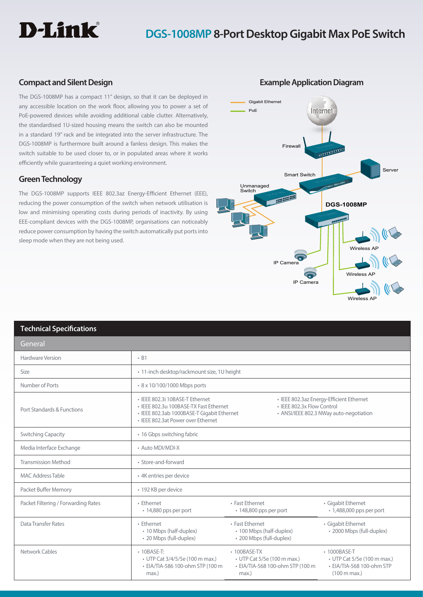

## **DGS-1008MP 8-Port Desktop Gigabit Max PoE Switch**

## **Compact and Silent Design**

The DGS-1008MP has a compact 11" design, so that it can be deployed in any accessible location on the work floor, allowing you to power a set of PoE-powered devices while avoiding additional cable clutter. Alternatively, the standardised 1U-sized housing means the switch can also be mounted in a standard 19" rack and be integrated into the server infrastructure. The DGS-1008MP is furthermore built around a fanless design. This makes the switch suitable to be used closer to, or in populated areas where it works efficiently while guaranteeing a quiet working environment.

## **Green Technology**

The DGS-1008MP supports IEEE 802.3az Energy-Efficient Ethernet (EEE), reducing the power consumption of the switch when network utilisation is low and minimising operating costs during periods of inactivity. By using EEE-compliant devices with the DGS-1008MP, organisations can noticeably reduce power consumption by having the switch automatically put ports into sleep mode when they are not being used.



**Example Application Diagram**

### **Technical Specifications**

| General                             |                                                                                                                                                               |                                                                                                |                                                                                                            |
|-------------------------------------|---------------------------------------------------------------------------------------------------------------------------------------------------------------|------------------------------------------------------------------------------------------------|------------------------------------------------------------------------------------------------------------|
| Hardware Version                    | $-B1$                                                                                                                                                         |                                                                                                |                                                                                                            |
| Size                                | · 11-inch desktop/rackmount size, 1U height                                                                                                                   |                                                                                                |                                                                                                            |
| Number of Ports                     | • 8 x 10/100/1000 Mbps ports                                                                                                                                  |                                                                                                |                                                                                                            |
| Port Standards & Functions          | • IFFF 802.3i 10BASF-T Fthernet<br>· IEEE 802.3u 100BASE-TX Fast Ethernet<br>· IEEE 802.3ab 1000BASE-T Gigabit Ethernet<br>• IEEE 802.3at Power over Ethernet | • IEEE 802.3x Flow Control                                                                     | • IEEE 802.3az Energy-Efficient Ethernet<br>• ANSI/IEEE 802.3 NWay auto-negotiation                        |
| <b>Switching Capacity</b>           | • 16 Gbps switching fabric                                                                                                                                    |                                                                                                |                                                                                                            |
| Media Interface Exchange            | • Auto MDI/MDI-X                                                                                                                                              |                                                                                                |                                                                                                            |
| <b>Transmission Method</b>          | • Store-and-forward                                                                                                                                           |                                                                                                |                                                                                                            |
| <b>MAC Address Table</b>            | • 4K entries per device                                                                                                                                       |                                                                                                |                                                                                                            |
| Packet Buffer Memory                | • 192 KB per device                                                                                                                                           |                                                                                                |                                                                                                            |
| Packet Filtering / Forwarding Rates | • Fthernet<br>• 14,880 pps per port                                                                                                                           | • Fast Ethernet<br>$\cdot$ 148,800 pps per port                                                | • Gigabit Ethernet<br>$\cdot$ 1,488,000 pps per port                                                       |
| Data Transfer Rates                 | • Fthernet<br>• 10 Mbps (half-duplex)<br>• 20 Mbps (full-duplex)                                                                                              | • Fast Ethernet<br>• 100 Mbps (half-duplex)<br>• 200 Mbps (full-duplex)                        | • Gigabit Ethernet<br>• 2000 Mbps (full-duplex)                                                            |
| Network Cables                      | • 10BASE-T:<br>• UTP Cat 3/4/5/5e (100 m max.)<br>• EIA/TIA-586 100-ohm STP (100 m<br>max.)                                                                   | $\cdot$ 100BASE-TX<br>• UTP Cat 5/5e (100 m max.)<br>• EIA/TIA-568 100-ohm STP (100 m<br>max.) | • 1000BASE-T<br>• UTP Cat 5/5e (100 m max.)<br>• EIA/TIA-568 100-ohm STP<br>$(100 \text{ m} \text{ max.})$ |